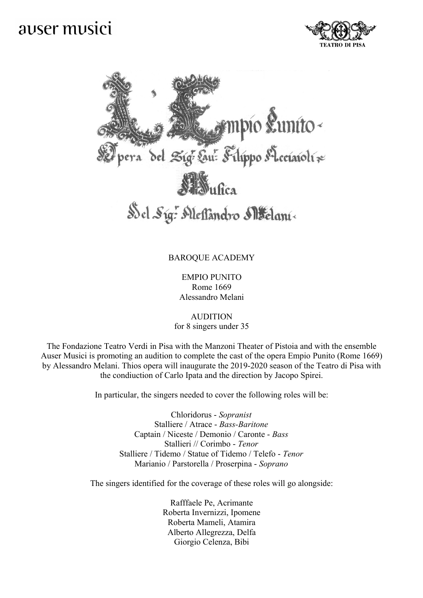## auser musici





## BAROQUE ACADEMY

EMPIO PUNITO Rome 1669 Alessandro Melani

AUDITION for 8 singers under 35

The Fondazione Teatro Verdi in Pisa with the Manzoni Theater of Pistoia and with the ensemble Auser Musici is promoting an audition to complete the cast of the opera Empio Punito (Rome 1669) by Alessandro Melani. Thios opera will inaugurate the 2019-2020 season of the Teatro di Pisa with the condiuction of Carlo Ipata and the direction by Jacopo Spirei.

In particular, the singers needed to cover the following roles will be:

Chloridorus - *Sopranist* Stalliere / Atrace - *Bass-Baritone* Captain / Niceste / Demonio / Caronte - *Bass* Stallieri // Corimbo - *Tenor* Stalliere / Tidemo / Statue of Tidemo / Telefo - *Tenor* Marianio / Parstorella / Proserpina - *Soprano*

The singers identified for the coverage of these roles will go alongside:

Rafffaele Pe, Acrimante Roberta Invernizzi, Ipomene Roberta Mameli, Atamira Alberto Allegrezza, Delfa Giorgio Celenza, Bibi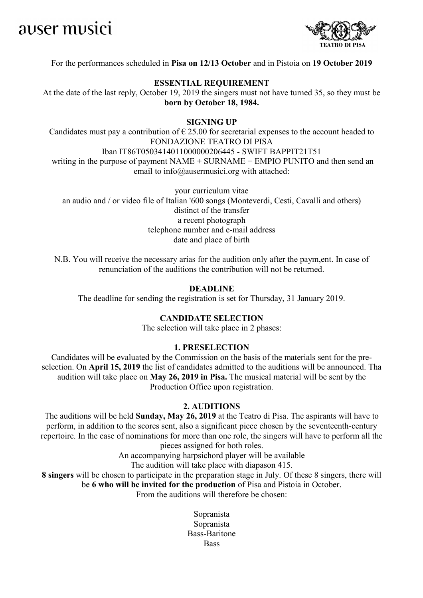



## For the performances scheduled in **Pisa on 12/13 October** and in Pistoia on **19 October 2019**

#### **ESSENTIAL REQUIREMENT**

At the date of the last reply, October 19, 2019 the singers must not have turned 35, so they must be **born by October 18, 1984.**

## **SIGNING UP**

Candidates must pay a contribution of  $\epsilon$  25.00 for secretarial expenses to the account headed to FONDAZIONE TEATRO DI PISA Iban IT86T0503414011000000206445 - SWIFT BAPPIT21T51 writing in the purpose of payment NAME + SURNAME + EMPIO PUNITO and then send an email to info@ausermusici.org with attached:

your curriculum vitae an audio and / or video file of Italian '600 songs (Monteverdi, Cesti, Cavalli and others) distinct of the transfer a recent photograph telephone number and e-mail address date and place of birth

N.B. You will receive the necessary arias for the audition only after the paym,ent. In case of renunciation of the auditions the contribution will not be returned.

#### **DEADLINE**

The deadline for sending the registration is set for Thursday, 31 January 2019.

## **CANDIDATE SELECTION**

The selection will take place in 2 phases:

### **1. PRESELECTION**

Candidates will be evaluated by the Commission on the basis of the materials sent for the preselection. On **April 15, 2019** the list of candidates admitted to the auditions will be announced. Tha audition will take place on **May 26, 2019 in Pisa.** The musical material will be sent by the Production Office upon registration.

#### **2. AUDITIONS**

The auditions will be held **Sunday, May 26, 2019** at the Teatro di Pisa. The aspirants will have to perform, in addition to the scores sent, also a significant piece chosen by the seventeenth-century repertoire. In the case of nominations for more than one role, the singers will have to perform all the pieces assigned for both roles.

An accompanying harpsichord player will be available

The audition will take place with diapason 415.

**8 singers** will be chosen to participate in the preparation stage in July. Of these 8 singers, there will be **6 who will be invited for the production** of Pisa and Pistoia in October. From the auditions will therefore be chosen:

> Sopranista Sopranista Bass-Baritone **Bass**